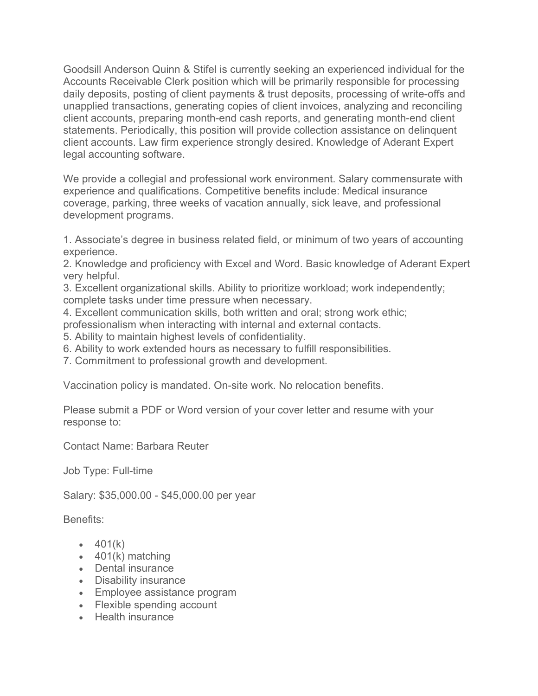Goodsill Anderson Quinn & Stifel is currently seeking an experienced individual for the Accounts Receivable Clerk position which will be primarily responsible for processing daily deposits, posting of client payments & trust deposits, processing of write-offs and unapplied transactions, generating copies of client invoices, analyzing and reconciling client accounts, preparing month-end cash reports, and generating month-end client statements. Periodically, this position will provide collection assistance on delinquent client accounts. Law firm experience strongly desired. Knowledge of Aderant Expert legal accounting software.

We provide a collegial and professional work environment. Salary commensurate with experience and qualifications. Competitive benefits include: Medical insurance coverage, parking, three weeks of vacation annually, sick leave, and professional development programs.

1. Associate's degree in business related field, or minimum of two years of accounting experience.

2. Knowledge and proficiency with Excel and Word. Basic knowledge of Aderant Expert very helpful.

3. Excellent organizational skills. Ability to prioritize workload; work independently; complete tasks under time pressure when necessary.

4. Excellent communication skills, both written and oral; strong work ethic;

professionalism when interacting with internal and external contacts.

5. Ability to maintain highest levels of confidentiality.

6. Ability to work extended hours as necessary to fulfill responsibilities.

7. Commitment to professional growth and development.

Vaccination policy is mandated. On-site work. No relocation benefits.

Please submit a PDF or Word version of your cover letter and resume with your response to:

Contact Name: Barbara Reuter

Job Type: Full-time

Salary: \$35,000.00 - \$45,000.00 per year

Benefits:

- $-401(k)$
- $\bullet$  401(k) matching
- Dental insurance
- Disability insurance
- Employee assistance program
- Flexible spending account
- Health insurance